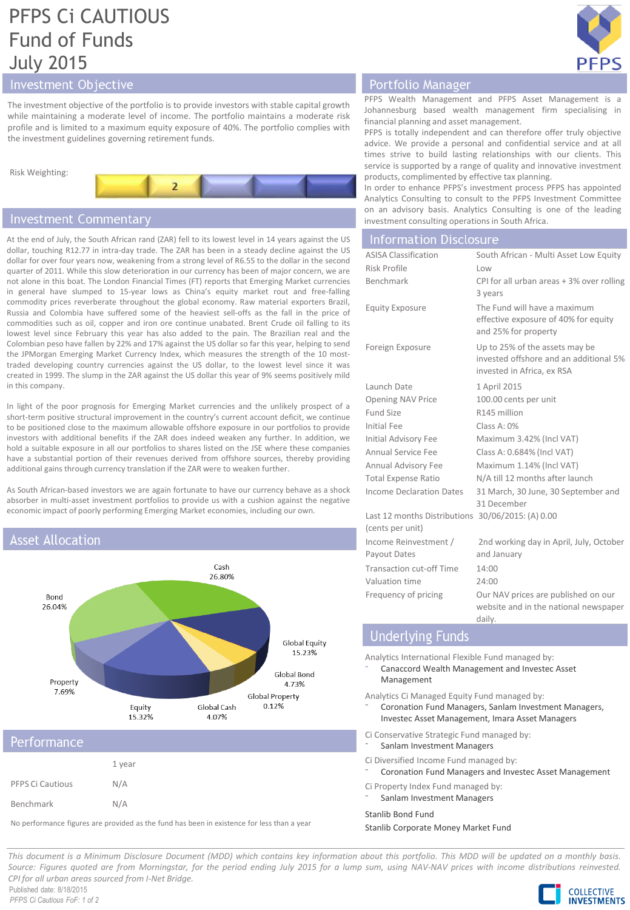# PFPS Ci CAUTIOUS Fund of Funds July 2015



# Investment Objective

The investment objective of the portfolio is to provide investors with stable capital growth while maintaining a moderate level of income. The portfolio maintains a moderate risk profile and is limited to a maximum equity exposure of 40%. The portfolio complies with the investment guidelines governing retirement funds.



# **Investment Commentary**

At the end of July, the South African rand (ZAR) fell to its lowest level in 14 years against the US dollar, touching R12.77 in intra-day trade. The ZAR has been in a steady decline against the US dollar for over four years now, weakening from a strong level of R6.55 to the dollar in the second quarter of 2011. While this slow deterioration in our currency has been of major concern, we are not alone in this boat. The London Financial Times (FT) reports that Emerging Market currencies in general have slumped to 15-year lows as China's equity market rout and free-falling commodity prices reverberate throughout the global economy. Raw material exporters Brazil, Russia and Colombia have suffered some of the heaviest sell-offs as the fall in the price of commodities such as oil, copper and iron ore continue unabated. Brent Crude oil falling to its lowest level since February this year has also added to the pain. The Brazilian real and the Colombian peso have fallen by 22% and 17% against the US dollar so far this year, helping to send the JPMorgan Emerging Market Currency Index, which measures the strength of the 10 mosttraded developing country currencies against the US dollar, to the lowest level since it was created in 1999. The slump in the ZAR against the US dollar this year of 9% seems positively mild in this company.

In light of the poor prognosis for Emerging Market currencies and the unlikely prospect of a short-term positive structural improvement in the country's current account deficit, we continue to be positioned close to the maximum allowable offshore exposure in our portfolios to provide investors with additional benefits if the ZAR does indeed weaken any further. In addition, we hold a suitable exposure in all our portfolios to shares listed on the JSE where these companies have a substantial portion of their revenues derived from offshore sources, thereby providing additional gains through currency translation if the ZAR were to weaken further.

As South African-based investors we are again fortunate to have our currency behave as a shock absorber in multi-asset investment portfolios to provide us with a cushion against the negative economic impact of poorly performing Emerging Market economies, including our own.

# **Asset Allocation**



# Performance

|                  | 1 year |
|------------------|--------|
| PFPS Ci Cautious | N/A    |
| Benchmark        | N/A    |

No performance figures are provided as the fund has been in existence for less than a year

# Portfolio Manager

PFPS Wealth Management and PFPS Asset Management is a Johannesburg based wealth management firm specialising in financial planning and asset management.

PFPS is totally independent and can therefore offer truly objective advice. We provide a personal and confidential service and at all times strive to build lasting relationships with our clients. This service is supported by a range of quality and innovative investment products, complimented by effective tax planning.

In order to enhance PFPS's investment process PFPS has appointed Analytics Consulting to consult to the PFPS Investment Committee on an advisory basis. Analytics Consulting is one of the leading investment consulting operations in South Africa.

| <b>Information Disclosure</b> |  |  |
|-------------------------------|--|--|
|                               |  |  |

| <b>ASISA Classification</b>                                           | South African - Multi Asset Low Equity                                                                 |
|-----------------------------------------------------------------------|--------------------------------------------------------------------------------------------------------|
| Risk Profile                                                          | 10w                                                                                                    |
| Benchmark                                                             | CPI for all urban areas + 3% over rolling<br>3 years                                                   |
| <b>Equity Exposure</b>                                                | The Fund will have a maximum<br>effective exposure of 40% for equity<br>and 25% for property           |
| Foreign Exposure                                                      | Up to 25% of the assets may be<br>invested offshore and an additional 5%<br>invested in Africa, ex RSA |
| Launch Date                                                           | 1 April 2015                                                                                           |
| <b>Opening NAV Price</b>                                              | 100.00 cents per unit                                                                                  |
| Fund Size                                                             | R145 million                                                                                           |
| <b>Initial Fee</b>                                                    | Class A: 0%                                                                                            |
| <b>Initial Advisory Fee</b>                                           | Maximum 3.42% (Incl VAT)                                                                               |
| Annual Service Fee                                                    | Class A: 0.684% (Incl VAT)                                                                             |
| <b>Annual Advisory Fee</b>                                            | Maximum 1.14% (Incl VAT)                                                                               |
| <b>Total Expense Ratio</b>                                            | N/A till 12 months after launch                                                                        |
| Income Declaration Dates                                              | 31 March, 30 June, 30 September and<br>31 December                                                     |
| Last 12 months Distributions 30/06/2015: (A) 0.00<br>(cents per unit) |                                                                                                        |
| Income Reinvestment /<br>Payout Dates                                 | 2nd working day in April, July, October<br>and January                                                 |
| Transaction cut-off Time                                              | 14:00                                                                                                  |
| Valuation time                                                        | 24:00                                                                                                  |
| Frequency of pricing                                                  | Our NAV prices are published on our<br>website and in the national newspaper                           |

# **Underlying Funds**

Analytics International Flexible Fund managed by:

⁻ Canaccord Wealth Management and Investec Asset Management

Analytics Ci Managed Equity Fund managed by:

⁻ Coronation Fund Managers, Sanlam Investment Managers, Investec Asset Management, Imara Asset Managers

daily.

Ci Conservative Strategic Fund managed by:

- Sanlam Investment Managers
- Ci Diversified Income Fund managed by:
- ⁻ Coronation Fund Managers and Investec Asset Management

Ci Property Index Fund managed by: Sanlam Investment Managers

Stanlib Bond Fund

Stanlib Corporate Money Market Fund

This document is a Minimum Disclosure Document (MDD) which contains key information about this portfolio. This MDD will be updated on a monthly basis. Source: Figures quoted are from Morningstar, for the period ending July 2015 for a lump sum, using NAV-NAV prices with income distributions reinvested. *CPI for all urban areas sourced from I-Net Bridge.*

Published date: 8/18/2015 *PFPS Ci Cautious FoF: 1 of 2*